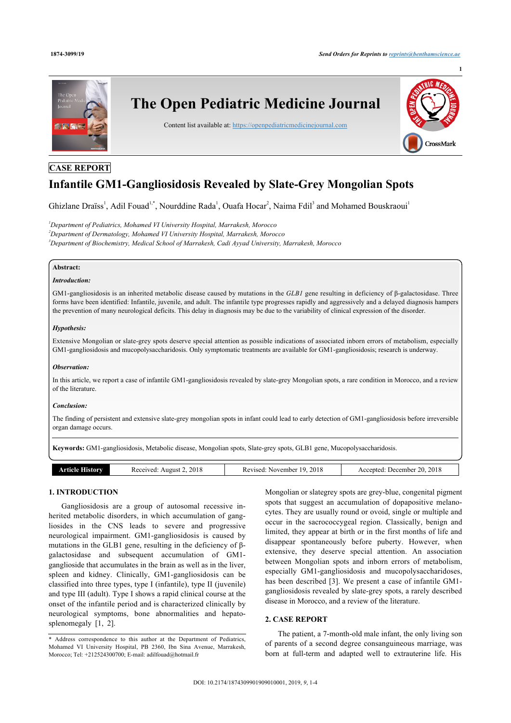**1**



## **CASE REPORT**

# **Infantile GM1-Gangliosidosis Revealed by Slate-Grey Mongolian Spots**

Ghizlane Draïss<sup>[1](#page-0-0)</sup>, Adil Fouad<sup>[1,](#page-0-0)[\\*](#page-0-1)</sup>, Nourddine Rada<sup>1</sup>, Ouafa Hocar<sup>[2](#page-0-2)</sup>, Naima Fdil<sup>[3](#page-0-3)</sup> and Mohamed Bouskraoui<sup>1</sup>

<span id="page-0-3"></span><span id="page-0-2"></span><span id="page-0-0"></span>*<sup>1</sup>Department of Pediatrics, Mohamed VI University Hospital, Marrakesh, Morocco <sup>2</sup>Department of Dermatology, Mohamed VI University Hospital, Marrakesh, Morocco <sup>3</sup>Department of Biochemistry, Medical School of Marrakesh, Cadi Ayyad University, Marrakesh, Morocco*

## **Abstract:**

## *Introduction:*

GM1-gangliosidosis is an inherited metabolic disease caused by mutations in the *GLB1* gene resulting in deficiency of β-galactosidase. Three forms have been identified: Infantile, juvenile, and adult. The infantile type progresses rapidly and aggressively and a delayed diagnosis hampers the prevention of many neurological deficits. This delay in diagnosis may be due to the variability of clinical expression of the disorder.

#### *Hypothesis:*

Extensive Mongolian or slate-grey spots deserve special attention as possible indications of associated inborn errors of metabolism, especially GM1-gangliosidosis and mucopolysaccharidosis. Only symptomatic treatments are available for GM1-gangliosidosis; research is underway.

#### *Observation:*

In this article, we report a case of infantile GM1-gangliosidosis revealed by slate-grey Mongolian spots, a rare condition in Morocco, and a review of the literature.

#### *Conclusion:*

The finding of persistent and extensive slate-grey mongolian spots in infant could lead to early detection of GM1-gangliosidosis before irreversible organ damage occurs.

**Keywords:** GM1-gangliosidosis, Metabolic disease, Mongolian spots, Slate-grey spots, GLB1 gene, Mucopolysaccharidosis.

| Article I<br>History | Received: August 2, 2018 | 9.2018<br>Revised:<br>November 19. | Accepted: December 20, 2018 |
|----------------------|--------------------------|------------------------------------|-----------------------------|
|                      |                          |                                    |                             |

## **1. INTRODUCTION**

Gangliosidosis are a group of autosomal recessive inherited metabolic disorders, in which accumulation of gangliosides in the CNS leads to severe and progressive neurological impairment. GM1-gangliosidosis is caused by mutations in the GLB1 gene, resulting in the deficiency of  $\beta$ galactosidase and subsequent accumulation of GM1 ganglioside that accumulates in the brain as well as in the liver, spleen and kidney. Clinically, GM1-gangliosidosis can be classified into three types, type I (infantile), type II (juvenile) and type III (adult). Type I shows a rapid clinical course at the onset of the infantile period and is characterized clinically by neurological symptoms, bone abnormalities and hepato-splenomegaly[[1](#page-2-0), [2](#page-2-1)].

Mongolian or slategrey spots are grey-blue, congenital pigment spots that suggest an accumulation of dopapositive melanocytes. They are usually round or ovoid, single or multiple and occur in the sacrococcygeal region. Classically, benign and limited, they appear at birth or in the first months of life and disappear spontaneously before puberty. However, when extensive, they deserve special attention. An association between Mongolian spots and inborn errors of metabolism, especially GM1-gangliosidosis and mucopolysaccharidoses, has been described [\[3](#page-2-2)]. We present a case of infantile GM1 gangliosidosis revealed by slate-grey spots, a rarely described disease in Morocco, and a review of the literature.

## **2. CASE REPORT**

The patient, a 7-month-old male infant, the only living son of parents of a second degree consanguineous marriage, was born at full-term and adapted well to extrauterine life. His

<span id="page-0-1"></span><sup>\*</sup> Address correspondence to this author at the Department of Pediatrics, Mohamed VI University Hospital, PB 2360, Ibn Sina Avenue, Marrakesh, Morocco; Tel: +212524300700; E-mail: [adilfouad@hotmail.fr](mailto:adilfouad@hotmail.fr)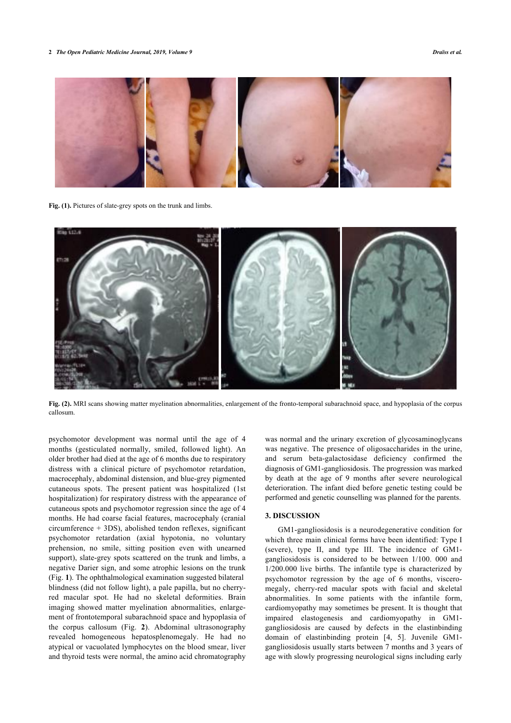#### **2** *The Open Pediatric Medicine Journal, 2019, Volume 9 Draïss et al.*

<span id="page-1-0"></span>

Fig. (1). Pictures of slate-grey spots on the trunk and limbs.

<span id="page-1-1"></span>

**Fig. (2).** MRI scans showing matter myelination abnormalities, enlargement of the fronto-temporal subarachnoid space, and hypoplasia of the corpus callosum.

psychomotor development was normal until the age of 4 months (gesticulated normally, smiled, followed light). An older brother had died at the age of 6 months due to respiratory distress with a clinical picture of psychomotor retardation, macrocephaly, abdominal distension, and blue-grey pigmented cutaneous spots. The present patient was hospitalized (1st hospitalization) for respiratory distress with the appearance of cutaneous spots and psychomotor regression since the age of 4 months. He had coarse facial features, macrocephaly (cranial circumference + 3DS), abolished tendon reflexes, significant psychomotor retardation (axial hypotonia, no voluntary prehension, no smile, sitting position even with unearned support), slate-grey spots scattered on the trunk and limbs, a negative Darier sign, and some atrophic lesions on the trunk (Fig. **[1](#page-1-0)**). The ophthalmological examination suggested bilateral blindness (did not follow light), a pale papilla, but no cherryred macular spot. He had no skeletal deformities. Brain imaging showed matter myelination abnormalities, enlargement of frontotemporal subarachnoid space and hypoplasia of the corpus callosum (Fig.**2**). Abdominal ultrasonography revealed homogeneous hepatosplenomegaly. He had no atypical or vacuolated lymphocytes on the blood smear, liver and thyroid tests were normal, the amino acid chromatography

was normal and the urinary excretion of glycosaminoglycans was negative. The presence of oligosaccharides in the urine, and serum beta-galactosidase deficiency confirmed the diagnosis of GM1-gangliosidosis. The progression was marked by death at the age of 9 months after severe neurological deterioration. The infant died before genetic testing could be performed and genetic counselling was planned for the parents.

#### **3. DISCUSSION**

GM1-gangliosidosis is a neurodegenerative condition for which three main clinical forms have been identified: Type I (severe), type II, and type III. The incidence of GM1 gangliosidosis is considered to be between 1/100. 000 and 1/200.000 live births. The infantile type is characterized by psychomotor regression by the age of 6 months, visceromegaly, cherry-red macular spots with facial and skeletal abnormalities. In some patients with the infantile form, cardiomyopathy may sometimes be present. It is thought that impaired elastogenesis and cardiomyopathy in GM1 gangliosidosis are caused by defects in the elastinbinding domain of elastinbinding protein [\[4,](#page-3-0) [5\]](#page-3-1). Juvenile GM1 gangliosidosis usually starts between 7 months and 3 years of age with slowly progressing neurological signs including early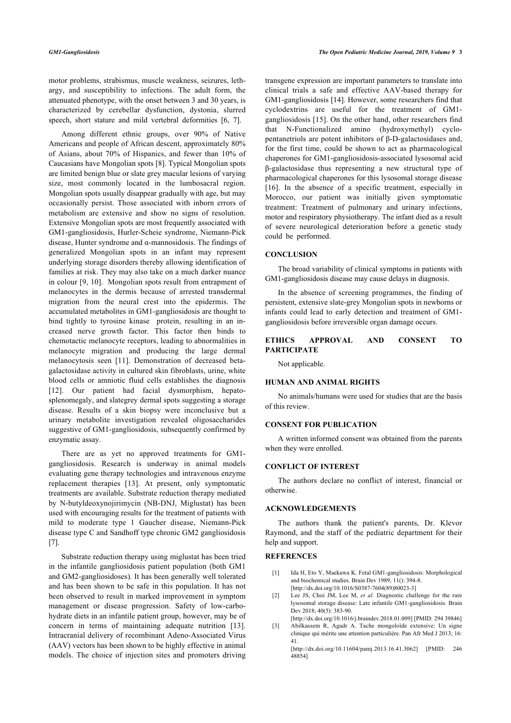*GM1-Gangliosidosis The Open Pediatric Medicine Journal, 2019, Volume 9* **3**

motor problems, strabismus, muscle weakness, seizures, lethargy, and susceptibility to infections. The adult form, the attenuated phenotype, with the onset between 3 and 30 years, is characterized by cerebellar dysfunction, dystonia, slurred speech, short stature and mild vertebral deformities[[6](#page-3-2), [7](#page-3-3)].

Among different ethnic groups, over 90% of Native Americans and people of African descent, approximately 80% of Asians, about 70% of Hispanics, and fewer than 10% of Caucasians have Mongolian spots [\[8\]](#page-3-4). Typical Mongolian spots are limited benign blue or slate grey macular lesions of varying size, most commonly located in the lumbosacral region. Mongolian spots usually disappear gradually with age, but may occasionally persist. Those associated with inborn errors of metabolism are extensive and show no signs of resolution. Extensive Mongolian spots are most frequently associated with GM1-gangliosidosis, Hurler-Scheie syndrome, Niemann-Pick disease, Hunter syndrome and α-mannosidosis. The findings of generalized Mongolian spots in an infant may represent underlying storage disorders thereby allowing identification of families at risk. They may also take on a much darker nuance in colour [[9,](#page-3-5) [10\]](#page-3-6). Mongolian spots result from entrapment of melanocytes in the dermis because of arrested transdermal migration from the neural crest into the epidermis. The accumulated metabolites in GM1-gangliosidosis are thought to bind tightly to tyrosine kinase protein, resulting in an increased nerve growth factor. This factor then binds to chemotactic melanocyte receptors, leading to abnormalities in melanocyte migration and producing the large dermal melanocytosis seen [\[11\]](#page-3-7). Demonstration of decreased betagalactosidase activity in cultured skin fibroblasts, urine, white blood cells or amniotic fluid cells establishes the diagnosis [[12\]](#page-3-8). Our patient had facial dysmorphism, hepatosplenomegaly, and slategrey dermal spots suggesting a storage disease. Results of a skin biopsy were inconclusive but a urinary metabolite investigation revealed oligosaccharides suggestive of GM1-gangliosidosis, subsequently confirmed by enzymatic assay.

There are as yet no approved treatments for GM1 gangliosidosis. Research is underway in animal models evaluating gene therapy technologies and intravenous enzyme replacement therapies[[13\]](#page-3-9). At present, only symptomatic treatments are available. Substrate reduction therapy mediated by N-butyldeoxynojirimycin (NB-DNJ, Miglustat) has been used with encouraging results for the treatment of patients with mild to moderate type 1 Gaucher disease, Niemann-Pick disease type C and Sandhoff type chronic GM2 gangliosidosis [[7](#page-3-3)].

<span id="page-2-2"></span><span id="page-2-1"></span><span id="page-2-0"></span>Substrate reduction therapy using miglustat has been tried in the infantile gangliosidosis patient population (both GM1 and GM2-gangliosidoses). It has been generally well tolerated and has been shown to be safe in this population. It has not been observed to result in marked improvement in symptom management or disease progression. Safety of low-carbohydrate diets in an infantile patient group, however, may be of concern in terms of maintaining adequate nutrition[[13\]](#page-3-9). Intracranial delivery of recombinant Adeno-Associated Virus (AAV) vectors has been shown to be highly effective in animal models. The choice of injection sites and promoters driving transgene expression are important parameters to translate into clinical trials a safe and effective AAV-based therapy for GM1-gangliosidosis [\[14\]](#page-3-10). However, some researchers find that cyclodextrins are useful for the treatment of GM1 gangliosidosis [[15\]](#page-3-11). On the other hand, other researchers find that N-Functionalized amino (hydroxymethyl) cyclopentanetriols are potent inhibitors of β-D-galactosidases and, for the first time, could be shown to act as pharmacological chaperones for GM1-gangliosidosis-associated lysosomal acid β-galactosidase thus representing a new structural type of pharmacological chaperones for this lysosomal storage disease [[16](#page-3-5)]. In the absence of a specific treatment, especially in Morocco, our patient was initially given symptomatic treatment: Treatment of pulmonary and urinary infections, motor and respiratory physiotherapy. The infant died as a result of severe neurological deterioration before a genetic study could be performed.

#### **CONCLUSION**

The broad variability of clinical symptoms in patients with GM1-gangliosidosis disease may cause delays in diagnosis.

In the absence of screening programmes, the finding of persistent, extensive slate-grey Mongolian spots in newborns or infants could lead to early detection and treatment of GM1 gangliosidosis before irreversible organ damage occurs.

## **ETHICS APPROVAL AND CONSENT TO PARTICIPATE**

Not applicable.

#### **HUMAN AND ANIMAL RIGHTS**

No animals/humans were used for studies that are the basis of this review.

## **CONSENT FOR PUBLICATION**

A written informed consent was obtained from the parents when they were enrolled.

## **CONFLICT OF INTEREST**

The authors declare no conflict of interest, financial or otherwise.

#### **ACKNOWLEDGEMENTS**

The authors thank the patient's parents, Dr. Klevor Raymond, and the staff of the pediatric department for their help and support.

#### **REFERENCES**

- [1] Ida H, Eto Y, Maekawa K. Fetal GM1-gangliosidosis: Morphological and biochemical studies. Brain Dev 1989; 11(): 394-8. [\[http://dx.doi.org/10.1016/S0387-7604\(89\)80023-3\]](http://dx.doi.org/10.1016/S0387-7604(89)80023-3)
- [2] Lee JS, Choi JM, Lee M, *et al.* Diagnostic challenge for the rare lysosomal storage disease: Late infantile GM1-gangliosidosis. Brain Dev 2018; 40(5): 383-90.
- [\[http://dx.doi.org/10.1016/j.braindev.2018.01.009](http://dx.doi.org/10.1016/j.braindev.2018.01.009)] [PMID: [294 39846\]](http://www.ncbi.nlm.nih.gov/pubmed/294%2039846) [3] Abilkassem R, Agadr A. Tache mongoloïde extensive: Un signe clinique qui mérite une attention particulière. Pan Afr Med J 2013; 16: 41.

[\[http://dx.doi.org/10.11604/pamj.2013.16.41.3062\]](http://dx.doi.org/10.11604/pamj.2013.16.41.3062) [PMID: [246](http://www.ncbi.nlm.nih.gov/pubmed/246%2048854) [48854](http://www.ncbi.nlm.nih.gov/pubmed/246%2048854)]